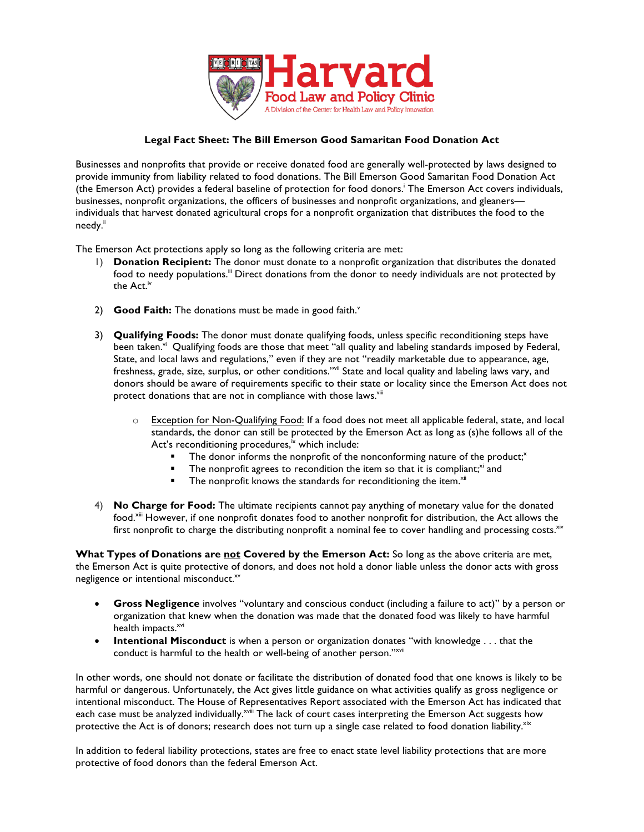

## **Legal Fact Sheet: The Bill Emerson Good Samaritan Food Donation Act**

Businesses and nonprofits that provide or receive donated food are generally well-protected by laws designed to provide immunity from liability related to food donations. The Bill Emerson Good Samaritan Food Donation Act (the Emerson Act) provides a federal baseline of protection for food donors.<sup>†</sup> The Emerson Act covers individuals, businesses, nonprofit organizations, the officers of businesses and nonprofit organizations, and gleaners individuals that harvest donated agricultural crops for a nonprofit organization that distributes the food to the needy.<sup>ii</sup>

The Emerson Act protections apply so long as the following criteria are met:

- 1) **Donation Recipient:** The donor must donate to a nonprofit organization that distributes the donated food to needy populations.<sup>ii</sup> Direct donations from the donor to needy individuals are not protected by the Act<sup>iv</sup>
- 2) **Good Faith:** The donations must be made in good faith.<sup>v</sup>
- 3) **Qualifying Foods:** The donor must donate qualifying foods, unless specific reconditioning steps have been taken.<sup>vi</sup> Qualifying foods are those that meet "all quality and labeling standards imposed by Federal, State, and local laws and regulations," even if they are not "readily marketable due to appearance, age, freshness, grade, size, surplus, or other conditions."<sup>wii</sup> State and local quality and labeling laws vary, and donors should be aware of requirements specific to their state or locality since the Emerson Act does not protect donations that are not in compliance with those laws.<sup>viii</sup>
	- o Exception for Non-Qualifying Food: If a food does not meet all applicable federal, state, and local standards, the donor can still be protected by the Emerson Act as long as (s)he follows all of the Act's reconditioning procedures, $\frac{1}{x}$  which include:
		- The donor informs the nonprofit of the nonconforming nature of the product;<sup>x</sup>
		- The nonprofit agrees to recondition the item so that it is compliant; $x_i$  and
		- The nonprofit knows the standards for reconditioning the item.<sup>xii</sup>
- 4) **No Charge for Food:** The ultimate recipients cannot pay anything of monetary value for the donated food.<sup>xiii</sup> However, if one nonprofit donates food to another nonprofit for distribution, the Act allows the first nonprofit to charge the distributing nonprofit a nominal fee to cover handling and processing costs. $\frac{x}{x}$

**What Types of Donations are not Covered by the Emerson Act:** So long as the above criteria are met, the Emerson Act is quite protective of donors, and does not hold a donor liable unless the donor acts with gross negligence or intentional misconduct.<sup>xv</sup>

- **Gross Negligence** involves "voluntary and conscious conduct (including a failure to act)" by a person or organization that knew when the donation was made that the donated food was likely to have harmful health impacts.<sup>xvi</sup>
- **Intentional Misconduct** is when a person or organization donates "with knowledge . . . that the conduct is harmful to the health or well-being of another person."<sup>xvii</sup>

In other words, one should not donate or facilitate the distribution of donated food that one knows is likely to be harmful or dangerous. Unfortunately, the Act gives little guidance on what activities qualify as gross negligence or intentional misconduct. The House of Representatives Report associated with the Emerson Act has indicated that each case must be analyzed individually.<sup>xviii</sup> The lack of court cases interpreting the Emerson Act suggests how protective the Act is of donors; research does not turn up a single case related to food donation liability.<sup>xix</sup>

In addition to federal liability protections, states are free to enact state level liability protections that are more protective of food donors than the federal Emerson Act.